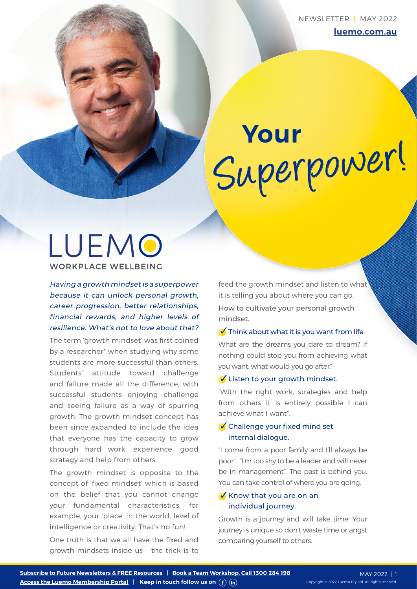# Superpower! **Your**

# LUEMO **WORKPLACE WELLBEING**

Having a growth mindset is a superpower because it can unlock personal growth, career progression, better relationships, financial rewards, and higher levels of resilience. What's not to love about that?

The term 'growth mindset' was first coined by a researcher\* when studying why some students are more successful than others. Students' attitude toward challenge and failure made all the difference, with successful students enjoying challenge and seeing failure as a way of spurring growth. The growth mindset concept has been since expanded to include the idea that everyone has the capacity to grow through hard work, experience, good strategy and help from others.

The growth mindset is opposite to the concept of 'fixed mindset' which is based on the belief that you cannot change your fundamental characteristics, for example, your 'place' in the world, level of intelligence or creativity. That's no fun!

One truth is that we all have the fixed and growth mindsets inside us – the trick is to feed the growth mindset and listen to what it is telling you about where you can go. How to cultivate your personal growth mindset.

## $\bullet$  Think about what it is you want from life.

What are the dreams you dare to dream? If nothing could stop you from achieving what you want, what would you go after?

## $\bigvee$  Listen to your growth mindset.

"With the right work, strategies and help from others it is entirely possible I can achieve what I want".

# $\bullet$  Challenge your fixed mind set internal dialogue.

"I come from a poor family and I'll always be poor", "I'm too shy to be a leader and will never be in management". The past is behind you. You can take control of where you are going.

# Know that you are on an individual journey.

Growth is a journey and will take time. Your journey is unique so don't waste time or angst comparing yourself to others.